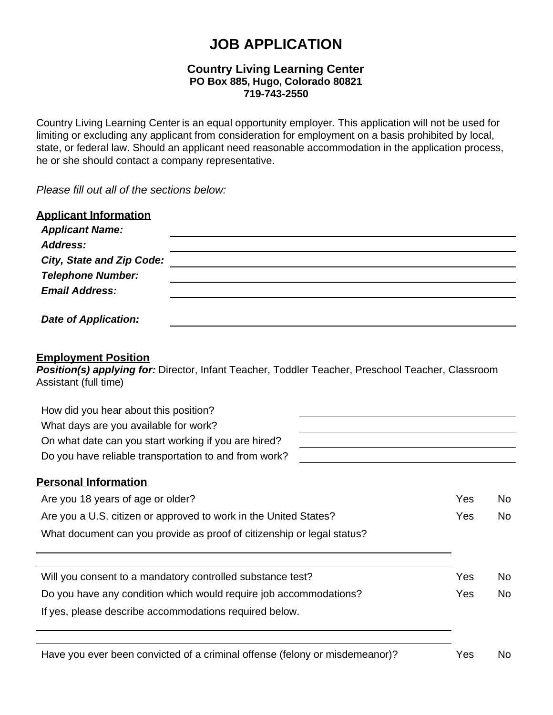# **JOB APPLICATION**

# **Country Living Learning Center PO Box 885, Hugo, Colorado 80821 719-743-2550**

Country Living Learning Center is an equal opportunity employer. This application will not be used for limiting or excluding any applicant from consideration for employment on a basis prohibited by local, state, or federal law. Should an applicant need reasonable accommodation in the application process, he or she should contact a company representative.

*Please fill out all of the sections below:*

| <b>Applicant Information</b><br><b>Applicant Name:</b>                                                                                                   |     |           |
|----------------------------------------------------------------------------------------------------------------------------------------------------------|-----|-----------|
| Address:                                                                                                                                                 |     |           |
| <b>City, State and Zip Code:</b>                                                                                                                         |     |           |
| <b>Telephone Number:</b>                                                                                                                                 |     |           |
| <b>Email Address:</b>                                                                                                                                    |     |           |
| <b>Date of Application:</b>                                                                                                                              |     |           |
| <b>Employment Position</b><br>Position(s) applying for: Director, Infant Teacher, Toddler Teacher, Preschool Teacher, Classroom<br>Assistant (full time) |     |           |
| How did you hear about this position?                                                                                                                    |     |           |
| What days are you available for work?                                                                                                                    |     |           |
| On what date can you start working if you are hired?                                                                                                     |     |           |
| Do you have reliable transportation to and from work?                                                                                                    |     |           |
| <b>Personal Information</b>                                                                                                                              |     |           |
| Are you 18 years of age or older?                                                                                                                        | Yes | <b>No</b> |
| Are you a U.S. citizen or approved to work in the United States?                                                                                         | Yes | <b>No</b> |
| What document can you provide as proof of citizenship or legal status?                                                                                   |     |           |
|                                                                                                                                                          |     |           |
| Will you consent to a mandatory controlled substance test?                                                                                               | Yes | No.       |
| Do you have any condition which would require job accommodations?                                                                                        | Yes | No.       |

If yes, please describe accommodations required below.

Have you ever been convicted of a criminal offense (felony or misdemeanor)? Yes No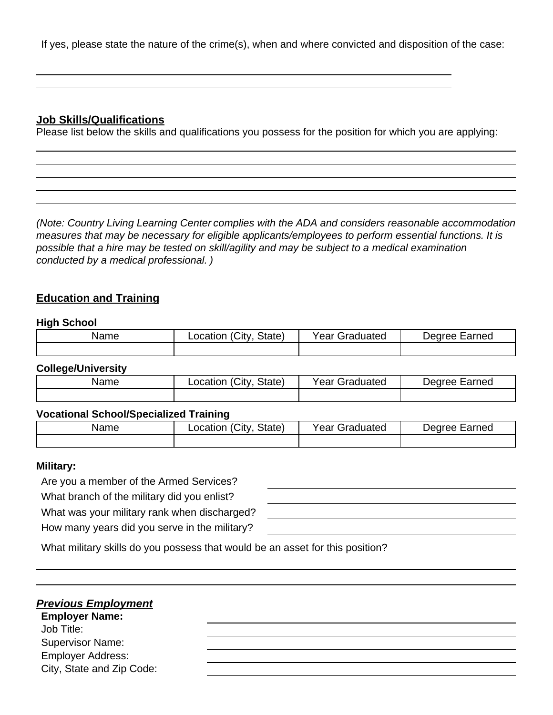If yes, please state the nature of the crime(s), when and where convicted and disposition of the case:

# **Job Skills/Qualifications**

Please list below the skills and qualifications you possess for the position for which you are applying:

*(Note: Country Living Learning Center complies with the ADA and considers reasonable accommodation measures that may be necessary for eligible applicants/employees to perform essential functions. It is possible that a hire may be tested on skill/agility and may be subject to a medical examination conducted by a medical professional. )*

# **Education and Training**

#### **High School**

| Name | $^{\circ}$ City<br>State <sub>)</sub><br>_ocatior | Graduated<br>Year | arned<br>aannar<br>'Π |
|------|---------------------------------------------------|-------------------|-----------------------|
|      |                                                   |                   |                       |

# **College/University**

| Name | City.<br>State)<br>_ocation | $\mathrm{``ear}$ $\mathrm{``}$<br>Graduated | arned<br>Jearee<br>−an… |
|------|-----------------------------|---------------------------------------------|-------------------------|
|      |                             |                                             |                         |

# **Vocational School/Specialized Training**

| Name | (City<br>State)<br>∟ocation | <b>Year Graduated</b> | Degree Earned |
|------|-----------------------------|-----------------------|---------------|
|      |                             |                       |               |

#### **Military:**

Are you a member of the Armed Services? What branch of the military did you enlist?

What was your military rank when discharged?

How many years did you serve in the military?

| How many years ald you serve in the military?                                 |  |
|-------------------------------------------------------------------------------|--|
| What military skills do you possess that would be an asset for this position? |  |

#### *Previous Employment*

**Employer Name:** Job Title: Supervisor Name: Employer Address: City, State and Zip Code: